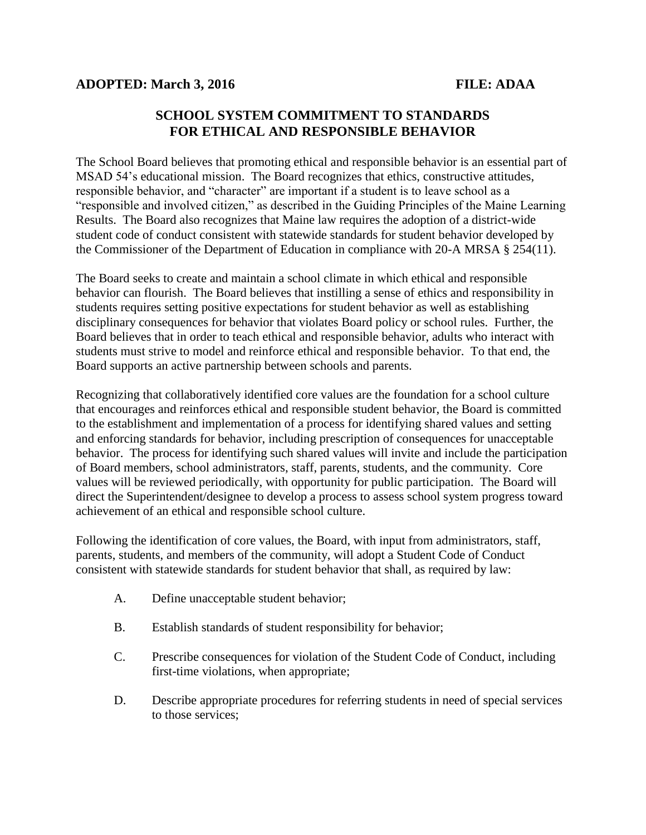## **SCHOOL SYSTEM COMMITMENT TO STANDARDS FOR ETHICAL AND RESPONSIBLE BEHAVIOR**

The School Board believes that promoting ethical and responsible behavior is an essential part of MSAD 54's educational mission. The Board recognizes that ethics, constructive attitudes, responsible behavior, and "character" are important if a student is to leave school as a "responsible and involved citizen," as described in the Guiding Principles of the Maine Learning Results. The Board also recognizes that Maine law requires the adoption of a district-wide student code of conduct consistent with statewide standards for student behavior developed by the Commissioner of the Department of Education in compliance with 20-A MRSA § 254(11).

The Board seeks to create and maintain a school climate in which ethical and responsible behavior can flourish. The Board believes that instilling a sense of ethics and responsibility in students requires setting positive expectations for student behavior as well as establishing disciplinary consequences for behavior that violates Board policy or school rules. Further, the Board believes that in order to teach ethical and responsible behavior, adults who interact with students must strive to model and reinforce ethical and responsible behavior. To that end, the Board supports an active partnership between schools and parents.

Recognizing that collaboratively identified core values are the foundation for a school culture that encourages and reinforces ethical and responsible student behavior, the Board is committed to the establishment and implementation of a process for identifying shared values and setting and enforcing standards for behavior, including prescription of consequences for unacceptable behavior. The process for identifying such shared values will invite and include the participation of Board members, school administrators, staff, parents, students, and the community. Core values will be reviewed periodically, with opportunity for public participation. The Board will direct the Superintendent/designee to develop a process to assess school system progress toward achievement of an ethical and responsible school culture.

Following the identification of core values, the Board, with input from administrators, staff, parents, students, and members of the community, will adopt a Student Code of Conduct consistent with statewide standards for student behavior that shall, as required by law:

- A. Define unacceptable student behavior;
- B. Establish standards of student responsibility for behavior;
- C. Prescribe consequences for violation of the Student Code of Conduct, including first-time violations, when appropriate;
- D. Describe appropriate procedures for referring students in need of special services to those services;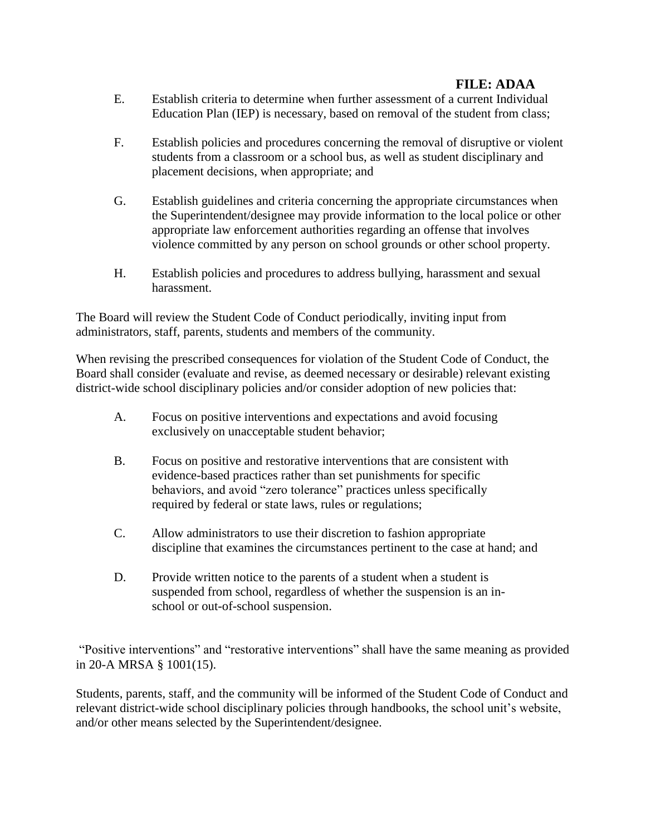## **FILE: ADAA**

- E. Establish criteria to determine when further assessment of a current Individual Education Plan (IEP) is necessary, based on removal of the student from class;
- F. Establish policies and procedures concerning the removal of disruptive or violent students from a classroom or a school bus, as well as student disciplinary and placement decisions, when appropriate; and
- G. Establish guidelines and criteria concerning the appropriate circumstances when the Superintendent/designee may provide information to the local police or other appropriate law enforcement authorities regarding an offense that involves violence committed by any person on school grounds or other school property.
- H. Establish policies and procedures to address bullying, harassment and sexual harassment.

The Board will review the Student Code of Conduct periodically, inviting input from administrators, staff, parents, students and members of the community.

When revising the prescribed consequences for violation of the Student Code of Conduct, the Board shall consider (evaluate and revise, as deemed necessary or desirable) relevant existing district-wide school disciplinary policies and/or consider adoption of new policies that:

- A. Focus on positive interventions and expectations and avoid focusing exclusively on unacceptable student behavior;
- B. Focus on positive and restorative interventions that are consistent with evidence-based practices rather than set punishments for specific behaviors, and avoid "zero tolerance" practices unless specifically required by federal or state laws, rules or regulations;
- C. Allow administrators to use their discretion to fashion appropriate discipline that examines the circumstances pertinent to the case at hand; and
- D. Provide written notice to the parents of a student when a student is suspended from school, regardless of whether the suspension is an inschool or out-of-school suspension.

"Positive interventions" and "restorative interventions" shall have the same meaning as provided in 20-A MRSA § 1001(15).

Students, parents, staff, and the community will be informed of the Student Code of Conduct and relevant district-wide school disciplinary policies through handbooks, the school unit's website, and/or other means selected by the Superintendent/designee.